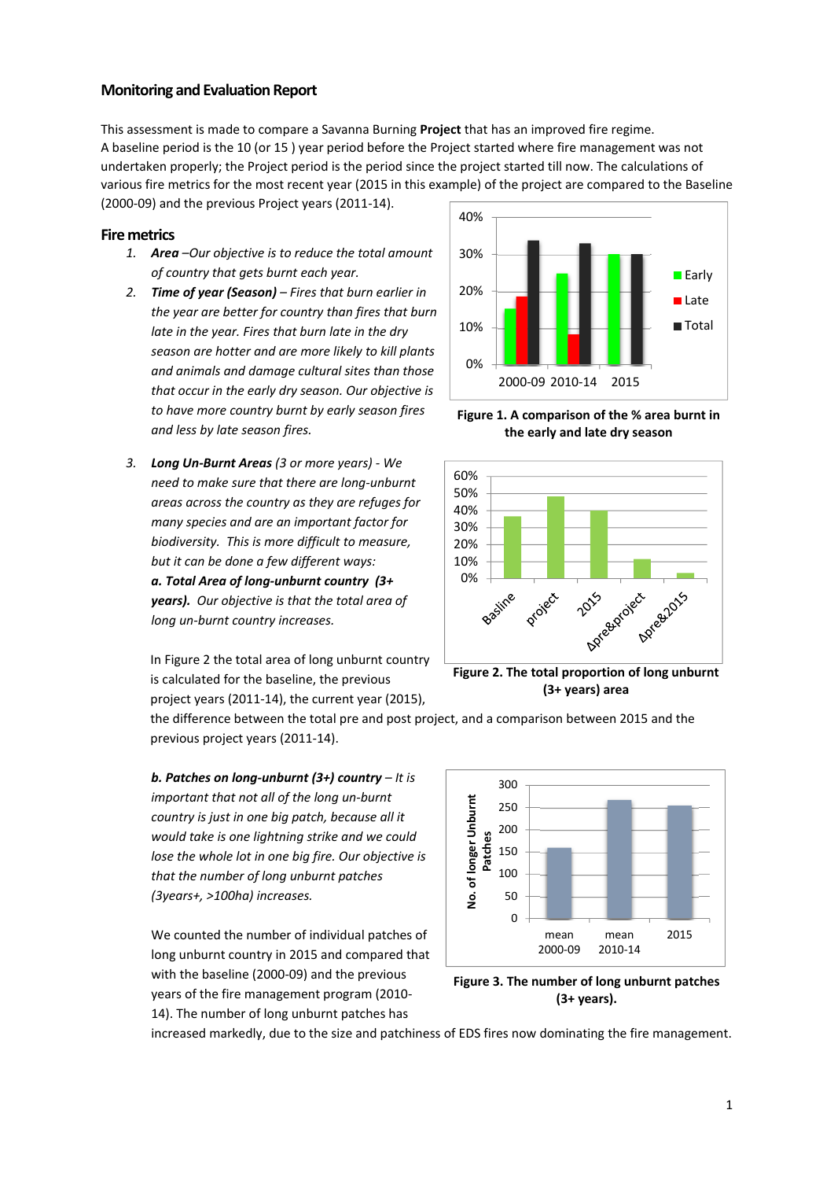## **Monitoring and Evaluation Report**

This assessment is made to compare a Savanna Burning **Project** that has an improved fire regime. A baseline period is the 10 (or 15 ) year period before the Project started where fire management was not undertaken properly; the Project period is the period since the project started till now. The calculations of various fire metrics for the most recent year (2015 in this example) of the project are compared to the Baseline

(2000‐09) and the previous Project years (2011‐14).

## **Fire metrics**

- *1. Area –Our objective is to reduce the total amount of country that gets burnt each year.*
- *2. Time of year (Season) – Fires that burn earlier in the year are better for country than fires that burn late in the year. Fires that burn late in the dry season are hotter and are more likely to kill plants and animals and damage cultural sites than those that occur in the early dry season. Our objective is to have more country burnt by early season fires and less by late season fires.*
- *3. Long Un‐Burnt Areas (3 or more years) ‐ We need to make sure that there are long‐unburnt areas across the country as they are refuges for many species and are an important factor for biodiversity. This is more difficult to measure, but it can be done a few different ways: a. Total Area of long‐unburnt country (3+ years). Our objective is that the total area of long un‐burnt country increases.*

In Figure 2 the total area of long unburnt country is calculated for the baseline, the previous project years (2011‐14), the current year (2015),



**Figure 1. A comparison of the % area burnt in the early and late dry season**



**Figure 2. The total proportion of long unburnt (3+ years) area**

the difference between the total pre and post project, and a comparison between 2015 and the previous project years (2011‐14).

*b. Patches on long‐unburnt (3+) country – It is important that not all of the long un‐burnt country is just in one big patch, because all it would take is one lightning strike and we could lose the whole lot in one big fire. Our objective is that the number of long unburnt patches (3years+, >100ha) increases.*

We counted the number of individual patches of long unburnt country in 2015 and compared that with the baseline (2000‐09) and the previous years of the fire management program (2010‐ 14). The number of long unburnt patches has



**Figure 3. The number of long unburnt patches (3+ years).**

increased markedly, due to the size and patchiness of EDS fires now dominating the fire management.